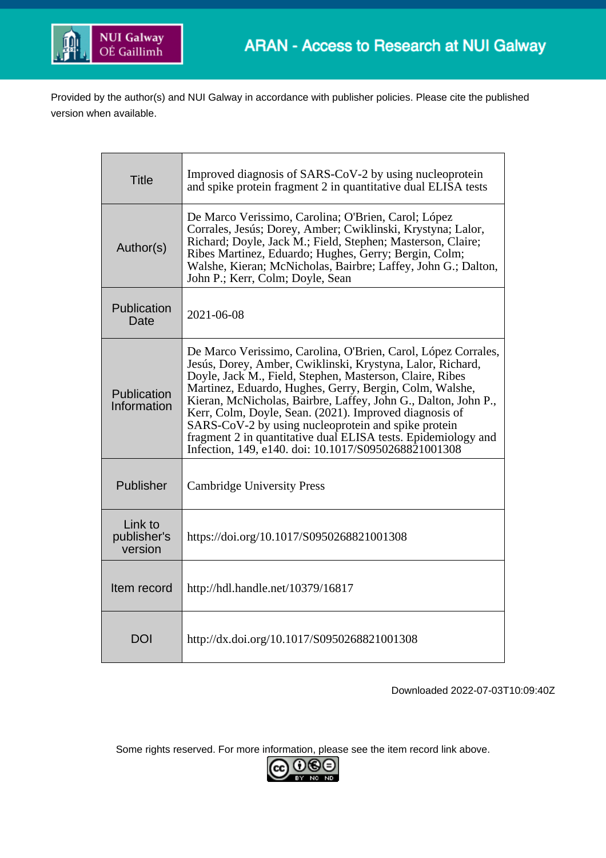

Provided by the author(s) and NUI Galway in accordance with publisher policies. Please cite the published version when available.

| <b>Title</b>                      | Improved diagnosis of SARS-CoV-2 by using nucleoprotein<br>and spike protein fragment 2 in quantitative dual ELISA tests                                                                                                                                                                                                                                                                                                                                                                                                                                       |  |  |
|-----------------------------------|----------------------------------------------------------------------------------------------------------------------------------------------------------------------------------------------------------------------------------------------------------------------------------------------------------------------------------------------------------------------------------------------------------------------------------------------------------------------------------------------------------------------------------------------------------------|--|--|
| Author(s)                         | De Marco Verissimo, Carolina; O'Brien, Carol; López<br>Corrales, Jesús; Dorey, Amber; Cwiklinski, Krystyna; Lalor,<br>Richard; Doyle, Jack M.; Field, Stephen; Masterson, Claire;<br>Ribes Martinez, Eduardo; Hughes, Gerry; Bergin, Colm;<br>Walshe, Kieran; McNicholas, Bairbre; Laffey, John G.; Dalton,<br>John P.; Kerr, Colm; Doyle, Sean                                                                                                                                                                                                                |  |  |
| Publication<br>Date               | 2021-06-08                                                                                                                                                                                                                                                                                                                                                                                                                                                                                                                                                     |  |  |
| Publication<br>Information        | De Marco Verissimo, Carolina, O'Brien, Carol, López Corrales,<br>Jesús, Dorey, Amber, Cwiklinski, Krystyna, Lalor, Richard,<br>Doyle, Jack M., Field, Stephen, Masterson, Claire, Ribes<br>Martinez, Eduardo, Hughes, Gerry, Bergin, Colm, Walshe,<br>Kieran, McNicholas, Bairbre, Laffey, John G., Dalton, John P.,<br>Kerr, Colm, Doyle, Sean. (2021). Improved diagnosis of<br>SARS-CoV-2 by using nucleoprotein and spike protein<br>fragment 2 in quantitative dual ELISA tests. Epidemiology and<br>Infection, 149, e140. doi: 10.1017/S0950268821001308 |  |  |
| Publisher                         | <b>Cambridge University Press</b>                                                                                                                                                                                                                                                                                                                                                                                                                                                                                                                              |  |  |
| Link to<br>publisher's<br>version | https://doi.org/10.1017/S0950268821001308                                                                                                                                                                                                                                                                                                                                                                                                                                                                                                                      |  |  |
| Item record                       | http://hdl.handle.net/10379/16817                                                                                                                                                                                                                                                                                                                                                                                                                                                                                                                              |  |  |
| <b>DOI</b>                        | http://dx.doi.org/10.1017/S0950268821001308                                                                                                                                                                                                                                                                                                                                                                                                                                                                                                                    |  |  |

Downloaded 2022-07-03T10:09:40Z

Some rights reserved. For more information, please see the item record link above.

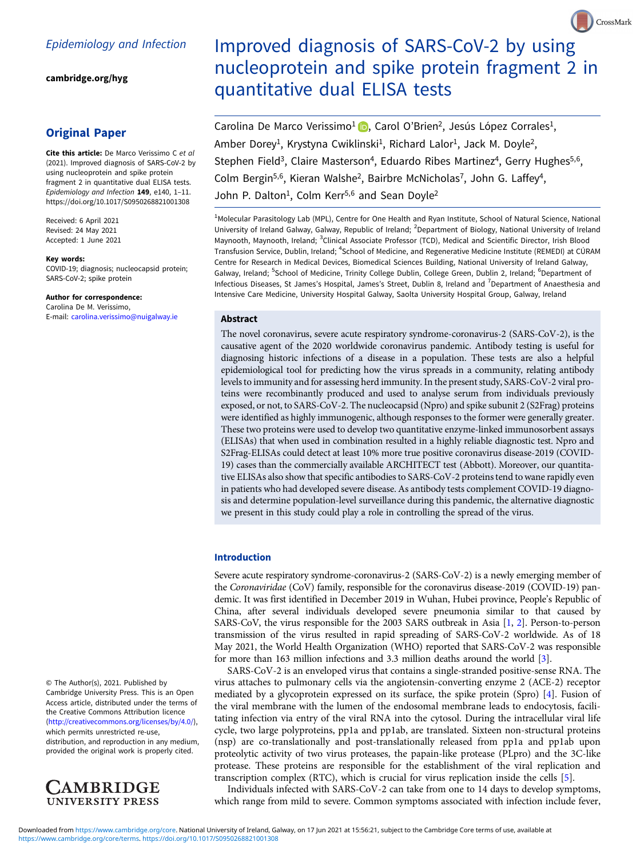[cambridge.org/hyg](https://www.cambridge.org/hyg)

# Original Paper

Cite this article: De Marco Verissimo C et al (2021). Improved diagnosis of SARS-CoV-2 by using nucleoprotein and spike protein fragment 2 in quantitative dual ELISA tests. Epidemiology and Infection 149, e140, 1–11. <https://doi.org/10.1017/S0950268821001308>

Received: 6 April 2021 Revised: 24 May 2021 Accepted: 1 June 2021

#### Key words:

COVID-19; diagnosis; nucleocapsid protein; SARS-CoV-2; spike protein

Author for correspondence: Carolina De M. Verissimo, E-mail: [carolina.verissimo@nuigalway.ie](mailto:carolina.verissimo@nuigalway.ie)

© The Author(s), 2021. Published by Cambridge University Press. This is an Open Access article, distributed under the terms of the Creative Commons Attribution licence ([http://creativecommons.org/licenses/by/4.0/\)](http://creativecommons.org/licenses/by/4.0/), which permits unrestricted re-use,

distribution, and reproduction in any medium, provided the original work is properly cited.



# Improved diagnosis of SARS-CoV-2 by using nucleoprotein and spike protein fragment 2 in quantitative dual ELISA tests

Carolina De Marco Verissimo<sup>1</sup> D[,](https://orcid.org/0000-0003-1762-6387) Carol O'Brien<sup>2</sup>, Jesús López Corrales<sup>1</sup>, Amber Dorey<sup>1</sup>, Krystyna Cwiklinski<sup>1</sup>, Richard Lalor<sup>1</sup>, Jack M. Doyle<sup>2</sup>, Stephen Field<sup>3</sup>, Claire Masterson<sup>4</sup>, Eduardo Ribes Martinez<sup>4</sup>, Gerry Hughes<sup>5,6</sup>, Colm Bergin<sup>5,6</sup>, Kieran Walshe<sup>2</sup>, Bairbre McNicholas<sup>7</sup>, John G. Laffey<sup>4</sup>, John P. Dalton<sup>1</sup>, Colm Kerr<sup>5,6</sup> and Sean Doyle<sup>2</sup>

<sup>1</sup>Molecular Parasitology Lab (MPL), Centre for One Health and Ryan Institute, School of Natural Science, National University of Ireland Galway, Galway, Republic of Ireland; <sup>2</sup>Department of Biology, National University of Ireland Maynooth, Maynooth, Ireland; <sup>3</sup>Clinical Associate Professor (TCD), Medical and Scientific Director, Irish Blood Transfusion Service, Dublin, Ireland; <sup>4</sup>School of Medicine, and Regenerative Medicine Institute (REMEDI) at CÚRAM Centre for Research in Medical Devices, Biomedical Sciences Building, National University of Ireland Galway, Galway, Ireland; <sup>5</sup>School of Medicine, Trinity College Dublin, College Green, Dublin 2, Ireland; <sup>6</sup>Department of Infectious Diseases, St James's Hospital, James's Street, Dublin 8, Ireland and <sup>7</sup>Department of Anaesthesia and Intensive Care Medicine, University Hospital Galway, Saolta University Hospital Group, Galway, Ireland

### Abstract

The novel coronavirus, severe acute respiratory syndrome-coronavirus-2 (SARS-CoV-2), is the causative agent of the 2020 worldwide coronavirus pandemic. Antibody testing is useful for diagnosing historic infections of a disease in a population. These tests are also a helpful epidemiological tool for predicting how the virus spreads in a community, relating antibody levels to immunity and for assessing herd immunity. In the present study, SARS-CoV-2 viral proteins were recombinantly produced and used to analyse serum from individuals previously exposed, or not, to SARS-CoV-2. The nucleocapsid (Npro) and spike subunit 2 (S2Frag) proteins were identified as highly immunogenic, although responses to the former were generally greater. These two proteins were used to develop two quantitative enzyme-linked immunosorbent assays (ELISAs) that when used in combination resulted in a highly reliable diagnostic test. Npro and S2Frag-ELISAs could detect at least 10% more true positive coronavirus disease-2019 (COVID-19) cases than the commercially available ARCHITECT test (Abbott). Moreover, our quantitative ELISAs also show that specific antibodies to SARS-CoV-2 proteins tend to wane rapidly even in patients who had developed severe disease. As antibody tests complement COVID-19 diagnosis and determine population-level surveillance during this pandemic, the alternative diagnostic we present in this study could play a role in controlling the spread of the virus.

#### Introduction

Severe acute respiratory syndrome-coronavirus-2 (SARS-CoV-2) is a newly emerging member of the Coronaviridae (CoV) family, responsible for the coronavirus disease-2019 (COVID-19) pandemic. It was first identified in December 2019 in Wuhan, Hubei province, People's Republic of China, after several individuals developed severe pneumonia similar to that caused by SARS-CoV, the virus responsible for the 2003 SARS outbreak in Asia [\[1,](#page-10-0) [2\]](#page-10-0). Person-to-person transmission of the virus resulted in rapid spreading of SARS-CoV-2 worldwide. As of 18 May 2021, the World Health Organization (WHO) reported that SARS-CoV-2 was responsible for more than 163 million infections and 3.3 million deaths around the world [[3](#page-10-0)].

SARS-CoV-2 is an enveloped virus that contains a single-stranded positive-sense RNA. The virus attaches to pulmonary cells via the angiotensin-converting enzyme 2 (ACE-2) receptor mediated by a glycoprotein expressed on its surface, the spike protein (Spro) [[4](#page-10-0)]. Fusion of the viral membrane with the lumen of the endosomal membrane leads to endocytosis, facilitating infection via entry of the viral RNA into the cytosol. During the intracellular viral life cycle, two large polyproteins, pp1a and pp1ab, are translated. Sixteen non-structural proteins (nsp) are co-translationally and post-translationally released from pp1a and pp1ab upon proteolytic activity of two virus proteases, the papain-like protease (PLpro) and the 3C-like protease. These proteins are responsible for the establishment of the viral replication and transcription complex (RTC), which is crucial for virus replication inside the cells [[5\]](#page-10-0).

Individuals infected with SARS-CoV-2 can take from one to 14 days to develop symptoms, which range from mild to severe. Common symptoms associated with infection include fever,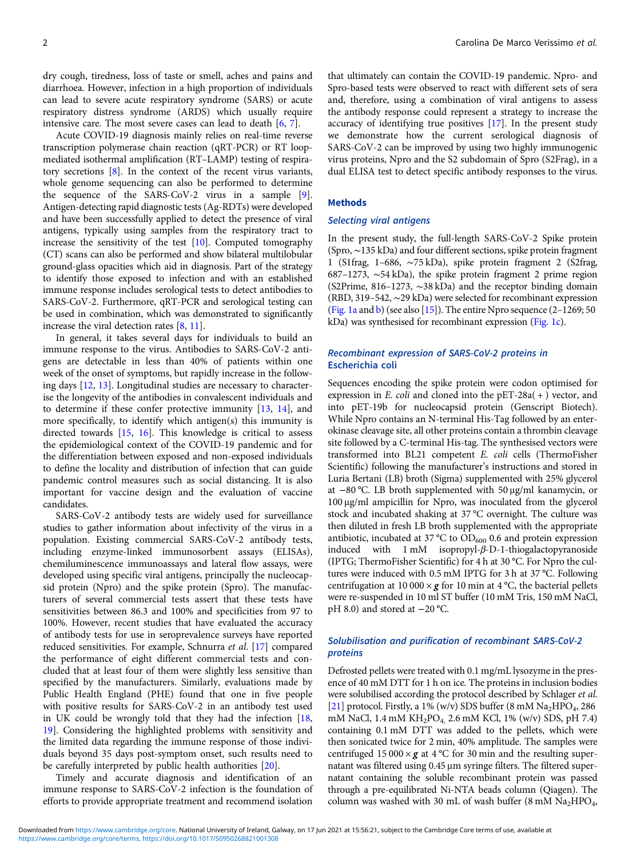dry cough, tiredness, loss of taste or smell, aches and pains and diarrhoea. However, infection in a high proportion of individuals can lead to severe acute respiratory syndrome (SARS) or acute respiratory distress syndrome (ARDS) which usually require intensive care. The most severe cases can lead to death [\[6,](#page-10-0) [7\]](#page-10-0).

Acute COVID-19 diagnosis mainly relies on real-time reverse transcription polymerase chain reaction (qRT-PCR) or RT loopmediated isothermal amplification (RT–LAMP) testing of respiratory secretions [[8](#page-10-0)]. In the context of the recent virus variants, whole genome sequencing can also be performed to determine the sequence of the SARS-CoV-2 virus in a sample [\[9\]](#page-10-0). Antigen-detecting rapid diagnostic tests (Ag-RDTs) were developed and have been successfully applied to detect the presence of viral antigens, typically using samples from the respiratory tract to increase the sensitivity of the test [\[10](#page-10-0)]. Computed tomography (CT) scans can also be performed and show bilateral multilobular ground-glass opacities which aid in diagnosis. Part of the strategy to identify those exposed to infection and with an established immune response includes serological tests to detect antibodies to SARS-CoV-2. Furthermore, qRT-PCR and serological testing can be used in combination, which was demonstrated to significantly increase the viral detection rates [\[8,](#page-10-0) [11\]](#page-10-0).

In general, it takes several days for individuals to build an immune response to the virus. Antibodies to SARS-CoV-2 antigens are detectable in less than 40% of patients within one week of the onset of symptoms, but rapidly increase in the following days [[12](#page-10-0), [13\]](#page-10-0). Longitudinal studies are necessary to characterise the longevity of the antibodies in convalescent individuals and to determine if these confer protective immunity [\[13](#page-10-0), [14](#page-10-0)], and more specifically, to identify which antigen(s) this immunity is directed towards [\[15](#page-10-0), [16](#page-11-0)]. This knowledge is critical to assess the epidemiological context of the COVID-19 pandemic and for the differentiation between exposed and non-exposed individuals to define the locality and distribution of infection that can guide pandemic control measures such as social distancing. It is also important for vaccine design and the evaluation of vaccine candidates.

SARS-CoV-2 antibody tests are widely used for surveillance studies to gather information about infectivity of the virus in a population. Existing commercial SARS-CoV-2 antibody tests, including enzyme-linked immunosorbent assays (ELISAs), chemiluminescence immunoassays and lateral flow assays, were developed using specific viral antigens, principally the nucleocapsid protein (Npro) and the spike protein (Spro). The manufacturers of several commercial tests assert that these tests have sensitivities between 86.3 and 100% and specificities from 97 to 100%. However, recent studies that have evaluated the accuracy of antibody tests for use in seroprevalence surveys have reported reduced sensitivities. For example, Schnurra et al. [[17](#page-11-0)] compared the performance of eight different commercial tests and concluded that at least four of them were slightly less sensitive than specified by the manufacturers. Similarly, evaluations made by Public Health England (PHE) found that one in five people with positive results for SARS-CoV-2 in an antibody test used in UK could be wrongly told that they had the infection [[18](#page-11-0), [19\]](#page-11-0). Considering the highlighted problems with sensitivity and the limited data regarding the immune response of those individuals beyond 35 days post-symptom onset, such results need to be carefully interpreted by public health authorities [[20\]](#page-11-0).

Timely and accurate diagnosis and identification of an immune response to SARS-CoV-2 infection is the foundation of efforts to provide appropriate treatment and recommend isolation

that ultimately can contain the COVID-19 pandemic. Npro- and Spro-based tests were observed to react with different sets of sera and, therefore, using a combination of viral antigens to assess the antibody response could represent a strategy to increase the accuracy of identifying true positives [[17\]](#page-11-0). In the present study we demonstrate how the current serological diagnosis of SARS-CoV-2 can be improved by using two highly immunogenic virus proteins, Npro and the S2 subdomain of Spro (S2Frag), in a dual ELISA test to detect specific antibody responses to the virus.

## **Methods**

#### Selecting viral antigens

In the present study, the full-length SARS-CoV-2 Spike protein (Spro, ∼135 kDa) and four different sections, spike protein fragment 1 (S1frag, 1–686, ∼75 kDa), spike protein fragment 2 (S2frag, 687–1273, ∼54 kDa), the spike protein fragment 2 prime region (S2Prime, 816–1273, ∼38 kDa) and the receptor binding domain (RBD, 319–542, ∼29 kDa) were selected for recombinant expression [\(Fig. 1a](#page-3-0) and [b](#page-3-0)) (see also  $[15]$  $[15]$ ). The entire Npro sequence (2-1269; 50 kDa) was synthesised for recombinant expression ([Fig. 1c](#page-3-0)).

## Recombinant expression of SARS-CoV-2 proteins in Escherichia coli

Sequences encoding the spike protein were codon optimised for expression in  $E.$  coli and cloned into the pET-28a( $+$ ) vector, and into pET-19b for nucleocapsid protein (Genscript Biotech). While Npro contains an N-terminal His-Tag followed by an enterokinase cleavage site, all other proteins contain a thrombin cleavage site followed by a C-terminal His-tag. The synthesised vectors were transformed into BL21 competent E. coli cells (ThermoFisher Scientific) following the manufacturer's instructions and stored in Luria Bertani (LB) broth (Sigma) supplemented with 25% glycerol at −80 °C. LB broth supplemented with 50 μg/ml kanamycin, or 100 μg/ml ampicillin for Npro, was inoculated from the glycerol stock and incubated shaking at 37 °C overnight. The culture was then diluted in fresh LB broth supplemented with the appropriate antibiotic, incubated at 37 °C to  $OD_{600}$  0.6 and protein expression induced with 1 mM isopropyl-β-D-1-thiogalactopyranoside (IPTG; ThermoFisher Scientific) for 4 h at 30 °C. For Npro the cultures were induced with 0.5 mM IPTG for 3 h at 37 °C. Following centrifugation at 10 000  $\times$  g for 10 min at 4 °C, the bacterial pellets were re-suspended in 10 ml ST buffer (10 mM Tris, 150 mM NaCl, pH 8.0) and stored at −20 °C.

# Solubilisation and purification of recombinant SARS-CoV-2 proteins

Defrosted pellets were treated with 0.1 mg/mL lysozyme in the presence of 40 mM DTT for 1 h on ice. The proteins in inclusion bodies were solubilised according the protocol described by Schlager et al. [[21\]](#page-11-0) protocol. Firstly, a 1% (w/v) SDS buffer (8 mM  $\text{Na}_2\text{HPO}_4$ , 286 mM NaCl, 1.4 mM KH<sub>2</sub>PO<sub>4</sub>, 2.6 mM KCl, 1% (w/v) SDS, pH 7.4) containing 0.1 mM DTT was added to the pellets, which were then sonicated twice for 2 min, 40% amplitude. The samples were centrifuged 15 000  $\times$  g at 4 °C for 30 min and the resulting supernatant was filtered using 0.45 μm syringe filters. The filtered supernatant containing the soluble recombinant protein was passed through a pre-equilibrated Ni-NTA beads column (Qiagen). The column was washed with 30 mL of wash buffer (8 mM  $\text{Na}_2\text{HPO}_4$ ,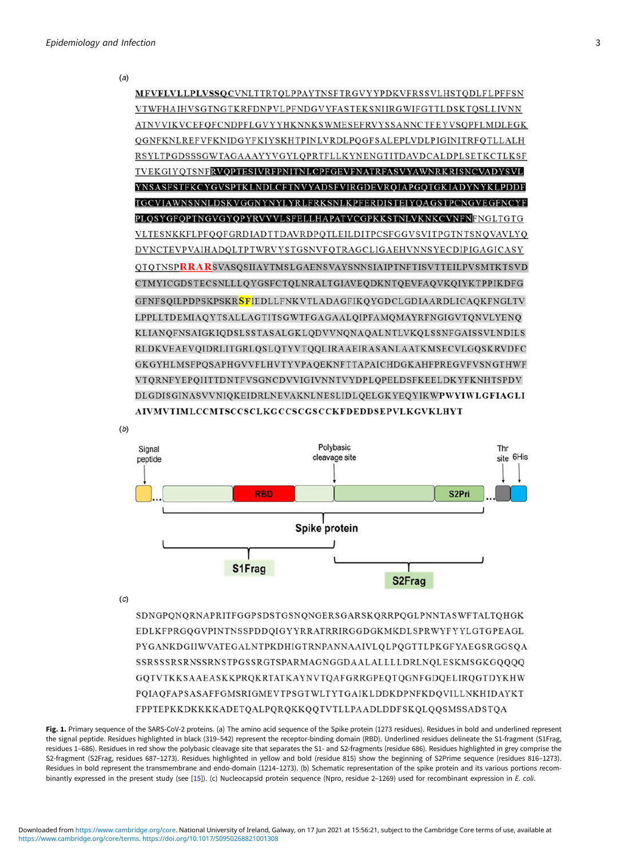<span id="page-3-0"></span>







 $(c)$ 

SDNGPQNQRNAPRITFGGPSDSTGSNQNGERSGARSKQRRPQGLPNNTASWFTALTQHGK EDLKFPRGQGVPINTNSSPDDQIGYYRRATRRIRGGDGKMKDLSPRWYFYYLGTGPEAGL PYGANKDGIIWVATEGALNTPKDHIGTRNPANNAAIVLQLPQGTTLPKGFYAEGSRGGSQA SSRSSSRSRNSSRNSTPGSSRGTSPARMAGNGGDAALALLLLDRLNQLESKMSGKGQQQQ GQTVTKKSAAEASKKPRQKRTATKAYNVTQAFGRRGPEQTQGNFGDQELIRQGTDYKHW PQIAQFAPSASAFFGMSRIGMEVTPSGTWLTYTGAIKLDDKDPNFKDQVILLNKHIDAYKT FPPTEPKKDKKKKADETQALPQRQKKQQTVTLLPAADLDDFSKQLQQSMSSADSTQA

Fig. 1. Primary sequence of the SARS-CoV-2 proteins. (a) The amino acid sequence of the Spike protein (1273 residues). Residues in bold and underlined represent the signal peptide. Residues highlighted in black (319–542) represent the receptor-binding domain (RBD). Underlined residues delineate the S1-fragment (S1Frag, residues 1–686). Residues in red show the polybasic cleavage site that separates the S1- and S2-fragments (residue 686). Residues highlighted in grey comprise the S2-fragment (S2Frag, residues 687–1273). Residues highlighted in yellow and bold (residue 815) show the beginning of S2Prime sequence (residues 816–1273). Residues in bold represent the transmembrane and endo-domain (1214–1273). (b) Schematic representation of the spike protein and its various portions recom-binantly expressed in the present study (see [[15\]](#page-10-0)). (c) Nucleocapsid protein sequence (Npro, residue 2-1269) used for recombinant expression in E. coli.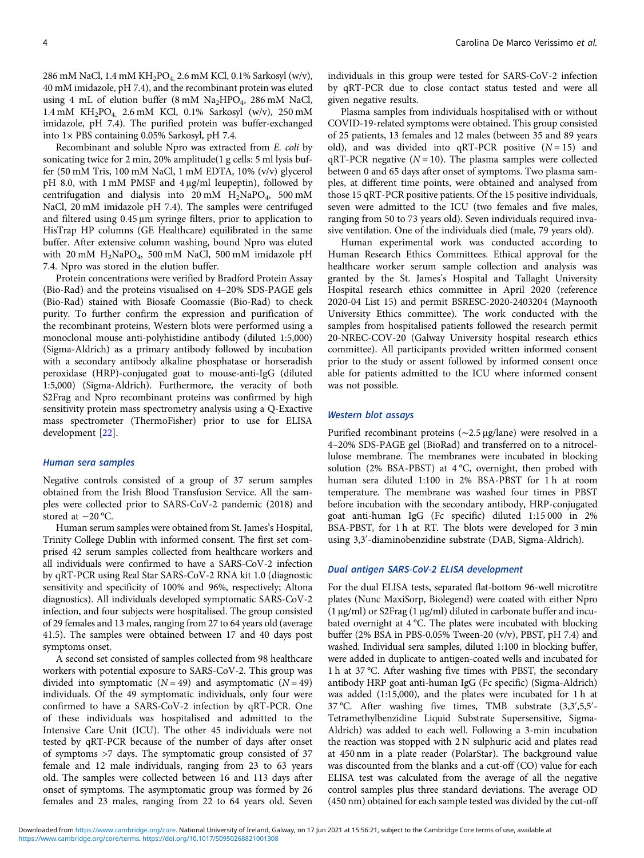286 mM NaCl, 1.4 mM KH<sub>2</sub>PO<sub>4</sub>, 2.6 mM KCl, 0.1% Sarkosyl (w/v), 40 mM imidazole, pH 7.4), and the recombinant protein was eluted using 4 mL of elution buffer  $(8 \text{ mM } Na<sub>2</sub>HPO<sub>4</sub>, 286 \text{ mM } NaCl$ , 1.4 mM KH2PO4, 2.6 mM KCl, 0.1% Sarkosyl (w/v), 250 mM imidazole, pH 7.4). The purified protein was buffer-exchanged into 1× PBS containing 0.05% Sarkosyl, pH 7.4.

Recombinant and soluble Npro was extracted from E. coli by sonicating twice for 2 min, 20% amplitude(1 g cells: 5 ml lysis buffer (50 mM Tris, 100 mM NaCl, 1 mM EDTA, 10% (v/v) glycerol pH 8.0, with 1 mM PMSF and 4 μg/ml leupeptin), followed by centrifugation and dialysis into  $20 \text{ mM}$  H<sub>2</sub>NaPO<sub>4</sub>, 500 mM NaCl, 20 mM imidazole pH 7.4). The samples were centrifuged and filtered using 0.45 μm syringe filters, prior to application to HisTrap HP columns (GE Healthcare) equilibrated in the same buffer. After extensive column washing, bound Npro was eluted with 20 mM H2NaPO4, 500 mM NaCl, 500 mM imidazole pH 7.4. Npro was stored in the elution buffer.

Protein concentrations were verified by Bradford Protein Assay (Bio-Rad) and the proteins visualised on 4–20% SDS-PAGE gels (Bio-Rad) stained with Biosafe Coomassie (Bio-Rad) to check purity. To further confirm the expression and purification of the recombinant proteins, Western blots were performed using a monoclonal mouse anti-polyhistidine antibody (diluted 1:5,000) (Sigma-Aldrich) as a primary antibody followed by incubation with a secondary antibody alkaline phosphatase or horseradish peroxidase (HRP)-conjugated goat to mouse-anti-IgG (diluted 1:5,000) (Sigma-Aldrich). Furthermore, the veracity of both S2Frag and Npro recombinant proteins was confirmed by high sensitivity protein mass spectrometry analysis using a Q-Exactive mass spectrometer (ThermoFisher) prior to use for ELISA development [[22\]](#page-11-0).

#### Human sera samples

Negative controls consisted of a group of 37 serum samples obtained from the Irish Blood Transfusion Service. All the samples were collected prior to SARS-CoV-2 pandemic (2018) and stored at −20 °C.

Human serum samples were obtained from St. James's Hospital, Trinity College Dublin with informed consent. The first set comprised 42 serum samples collected from healthcare workers and all individuals were confirmed to have a SARS-CoV-2 infection by qRT-PCR using Real Star SARS-CoV-2 RNA kit 1.0 (diagnostic sensitivity and specificity of 100% and 96%, respectively; Altona diagnostics). All individuals developed symptomatic SARS-CoV-2 infection, and four subjects were hospitalised. The group consisted of 29 females and 13 males, ranging from 27 to 64 years old (average 41.5). The samples were obtained between 17 and 40 days post symptoms onset.

A second set consisted of samples collected from 98 healthcare workers with potential exposure to SARS-CoV-2. This group was divided into symptomatic  $(N = 49)$  and asymptomatic  $(N = 49)$ individuals. Of the 49 symptomatic individuals, only four were confirmed to have a SARS-CoV-2 infection by qRT-PCR. One of these individuals was hospitalised and admitted to the Intensive Care Unit (ICU). The other 45 individuals were not tested by qRT-PCR because of the number of days after onset of symptoms >7 days. The symptomatic group consisted of 37 female and 12 male individuals, ranging from 23 to 63 years old. The samples were collected between 16 and 113 days after onset of symptoms. The asymptomatic group was formed by 26 females and 23 males, ranging from 22 to 64 years old. Seven individuals in this group were tested for SARS-CoV-2 infection by qRT-PCR due to close contact status tested and were all given negative results.

Plasma samples from individuals hospitalised with or without COVID-19-related symptoms were obtained. This group consisted of 25 patients, 13 females and 12 males (between 35 and 89 years old), and was divided into qRT-PCR positive  $(N = 15)$  and  $qRT-PCR$  negative ( $N = 10$ ). The plasma samples were collected between 0 and 65 days after onset of symptoms. Two plasma samples, at different time points, were obtained and analysed from those 15 qRT-PCR positive patients. Of the 15 positive individuals, seven were admitted to the ICU (two females and five males, ranging from 50 to 73 years old). Seven individuals required invasive ventilation. One of the individuals died (male, 79 years old).

Human experimental work was conducted according to Human Research Ethics Committees. Ethical approval for the healthcare worker serum sample collection and analysis was granted by the St. James's Hospital and Tallaght University Hospital research ethics committee in April 2020 (reference 2020-04 List 15) and permit BSRESC-2020-2403204 (Maynooth University Ethics committee). The work conducted with the samples from hospitalised patients followed the research permit 20-NREC-COV-20 (Galway University hospital research ethics committee). All participants provided written informed consent prior to the study or assent followed by informed consent once able for patients admitted to the ICU where informed consent was not possible.

#### Western blot assays

Purified recombinant proteins (∼2.5 μg/lane) were resolved in a 4–20% SDS-PAGE gel (BioRad) and transferred on to a nitrocellulose membrane. The membranes were incubated in blocking solution (2% BSA-PBST) at 4 °C, overnight, then probed with human sera diluted 1:100 in 2% BSA-PBST for 1 h at room temperature. The membrane was washed four times in PBST before incubation with the secondary antibody, HRP-conjugated goat anti-human IgG (Fc specific) diluted 1:15 000 in 2% BSA-PBST, for 1 h at RT. The blots were developed for 3 min using 3,3′ -diaminobenzidine substrate (DAB, Sigma-Aldrich).

# Dual antigen SARS-CoV-2 ELISA development

For the dual ELISA tests, separated flat-bottom 96-well microtitre plates (Nunc MaxiSorp, Biolegend) were coated with either Npro (1 μg/ml) or S2Frag (1 μg/ml) diluted in carbonate buffer and incubated overnight at 4 °C. The plates were incubated with blocking buffer (2% BSA in PBS-0.05% Tween-20 (v/v), PBST, pH 7.4) and washed. Individual sera samples, diluted 1:100 in blocking buffer, were added in duplicate to antigen-coated wells and incubated for 1 h at 37 °C. After washing five times with PBST, the secondary antibody HRP goat anti-human IgG (Fc specific) (Sigma-Aldrich) was added (1:15,000), and the plates were incubated for 1 h at 37 °C. After washing five times, TMB substrate (3,3',5,5'-Tetramethylbenzidine Liquid Substrate Supersensitive, Sigma-Aldrich) was added to each well. Following a 3-min incubation the reaction was stopped with 2 N sulphuric acid and plates read at 450 nm in a plate reader (PolarStar). The background value was discounted from the blanks and a cut-off (CO) value for each ELISA test was calculated from the average of all the negative control samples plus three standard deviations. The average OD (450 nm) obtained for each sample tested was divided by the cut-off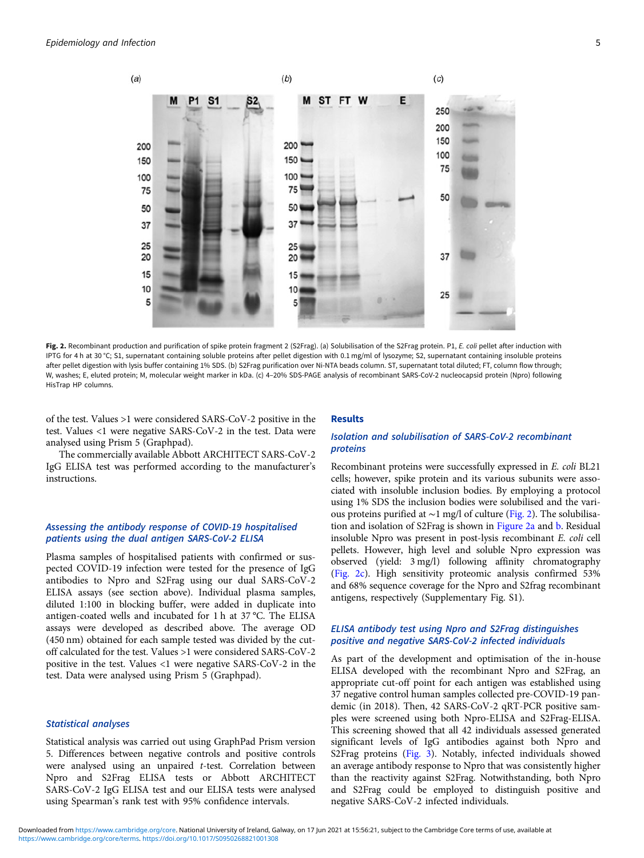

Fig. 2. Recombinant production and purification of spike protein fragment 2 (S2Frag). (a) Solubilisation of the S2Frag protein. P1, E. coli pellet after induction with IPTG for 4 h at 30 °C; S1, supernatant containing soluble proteins after pellet digestion with 0.1 mg/ml of lysozyme; S2, supernatant containing insoluble proteins after pellet digestion with lysis buffer containing 1% SDS. (b) S2Frag purification over Ni-NTA beads column. ST, supernatant total diluted; FT, column flow through; W, washes; E, eluted protein; M, molecular weight marker in kDa. (c) 4–20% SDS-PAGE analysis of recombinant SARS-CoV-2 nucleocapsid protein (Npro) following HisTrap HP columns.

of the test. Values >1 were considered SARS-CoV-2 positive in the test. Values <1 were negative SARS-CoV-2 in the test. Data were analysed using Prism 5 (Graphpad).

The commercially available Abbott ARCHITECT SARS-CoV-2 IgG ELISA test was performed according to the manufacturer's instructions.

## Assessing the antibody response of COVID-19 hospitalised patients using the dual antigen SARS-CoV-2 ELISA

Plasma samples of hospitalised patients with confirmed or suspected COVID-19 infection were tested for the presence of IgG antibodies to Npro and S2Frag using our dual SARS-CoV-2 ELISA assays (see section above). Individual plasma samples, diluted 1:100 in blocking buffer, were added in duplicate into antigen-coated wells and incubated for 1 h at 37 °C. The ELISA assays were developed as described above. The average OD (450 nm) obtained for each sample tested was divided by the cutoff calculated for the test. Values >1 were considered SARS-CoV-2 positive in the test. Values <1 were negative SARS-CoV-2 in the test. Data were analysed using Prism 5 (Graphpad).

### Statistical analyses

Statistical analysis was carried out using GraphPad Prism version 5. Differences between negative controls and positive controls were analysed using an unpaired t-test. Correlation between Npro and S2Frag ELISA tests or Abbott ARCHITECT SARS-CoV-2 IgG ELISA test and our ELISA tests were analysed using Spearman's rank test with 95% confidence intervals.

#### Results

# Isolation and solubilisation of SARS-CoV-2 recombinant proteins

Recombinant proteins were successfully expressed in E. coli BL21 cells; however, spike protein and its various subunits were associated with insoluble inclusion bodies. By employing a protocol using 1% SDS the inclusion bodies were solubilised and the various proteins purified at ∼1 mg/l of culture (Fig. 2). The solubilisation and isolation of S2Frag is shown in Figure 2a and b. Residual insoluble Npro was present in post-lysis recombinant E. coli cell pellets. However, high level and soluble Npro expression was observed (yield: 3 mg/l) following affinity chromatography (Fig. 2c). High sensitivity proteomic analysis confirmed 53% and 68% sequence coverage for the Npro and S2frag recombinant antigens, respectively (Supplementary Fig. S1).

# ELISA antibody test using Npro and S2Frag distinguishes positive and negative SARS-CoV-2 infected individuals

As part of the development and optimisation of the in-house ELISA developed with the recombinant Npro and S2Frag, an appropriate cut-off point for each antigen was established using 37 negative control human samples collected pre-COVID-19 pandemic (in 2018). Then, 42 SARS-CoV-2 qRT-PCR positive samples were screened using both Npro-ELISA and S2Frag-ELISA. This screening showed that all 42 individuals assessed generated significant levels of IgG antibodies against both Npro and S2Frag proteins ([Fig. 3\)](#page-6-0). Notably, infected individuals showed an average antibody response to Npro that was consistently higher than the reactivity against S2Frag. Notwithstanding, both Npro and S2Frag could be employed to distinguish positive and negative SARS-CoV-2 infected individuals.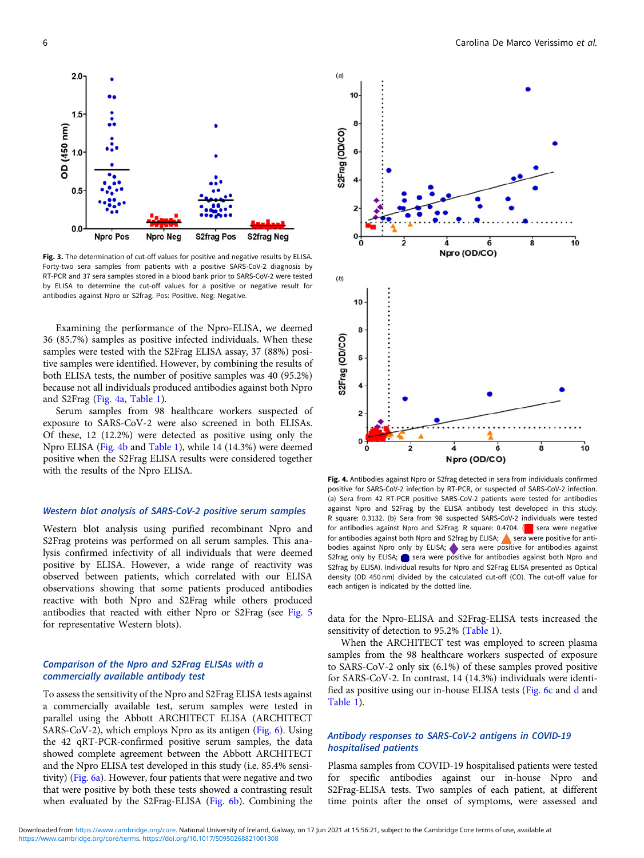<span id="page-6-0"></span>

Fig. 3. The determination of cut-off values for positive and negative results by ELISA. Forty-two sera samples from patients with a positive SARS-CoV-2 diagnosis by RT-PCR and 37 sera samples stored in a blood bank prior to SARS-CoV-2 were tested by ELISA to determine the cut-off values for a positive or negative result for antibodies against Npro or S2frag. Pos: Positive. Neg: Negative.

Examining the performance of the Npro-ELISA, we deemed 36 (85.7%) samples as positive infected individuals. When these samples were tested with the S2Frag ELISA assay, 37 (88%) positive samples were identified. However, by combining the results of both ELISA tests, the number of positive samples was 40 (95.2%) because not all individuals produced antibodies against both Npro and S2Frag (Fig. 4a, [Table 1\)](#page-7-0).

Serum samples from 98 healthcare workers suspected of exposure to SARS-CoV-2 were also screened in both ELISAs. Of these, 12 (12.2%) were detected as positive using only the Npro ELISA (Fig. 4b and [Table 1](#page-7-0)), while 14 (14.3%) were deemed positive when the S2Frag ELISA results were considered together with the results of the Npro ELISA.

## Western blot analysis of SARS-CoV-2 positive serum samples

Western blot analysis using purified recombinant Npro and S2Frag proteins was performed on all serum samples. This analysis confirmed infectivity of all individuals that were deemed positive by ELISA. However, a wide range of reactivity was observed between patients, which correlated with our ELISA observations showing that some patients produced antibodies reactive with both Npro and S2Frag while others produced antibodies that reacted with either Npro or S2Frag (see [Fig. 5](#page-7-0) for representative Western blots).

# Comparison of the Npro and S2Frag ELISAs with a commercially available antibody test

To assess the sensitivity of the Npro and S2Frag ELISA tests against a commercially available test, serum samples were tested in parallel using the Abbott ARCHITECT ELISA (ARCHITECT SARS-CoV-2), which employs Npro as its antigen [\(Fig. 6\)](#page-8-0). Using the 42 qRT-PCR-confirmed positive serum samples, the data showed complete agreement between the Abbott ARCHITECT and the Npro ELISA test developed in this study (i.e. 85.4% sensitivity) ([Fig. 6a\)](#page-8-0). However, four patients that were negative and two that were positive by both these tests showed a contrasting result when evaluated by the S2Frag-ELISA ([Fig. 6b\)](#page-8-0). Combining the



Fig. 4. Antibodies against Npro or S2frag detected in sera from individuals confirmed positive for SARS-CoV-2 infection by RT-PCR, or suspected of SARS-CoV-2 infection. (a) Sera from 42 RT-PCR positive SARS-CoV-2 patients were tested for antibodies against Npro and S2Frag by the ELISA antibody test developed in this study. R square: 0.3132. (b) Sera from 98 suspected SARS-CoV-2 individuals were tested for antibodies against Npro and S2Frag. R square: 0.4704.  $\Box$  sera were negative for antibodies against both Npro and S2frag by ELISA; sera were positive for antibodies against Npro only by ELISA; sera were positive for antibodies against S2frag only by ELISA; sera were positive for antibodies against both Npro and S2frag by ELISA). Individual results for Npro and S2Frag ELISA presented as Optical density (OD 450 nm) divided by the calculated cut-off (CO). The cut-off value for each antigen is indicated by the dotted line.

data for the Npro-ELISA and S2Frag-ELISA tests increased the sensitivity of detection to 95.2% ([Table 1\)](#page-7-0).

When the ARCHITECT test was employed to screen plasma samples from the 98 healthcare workers suspected of exposure to SARS-CoV-2 only six (6.1%) of these samples proved positive for SARS-CoV-2. In contrast, 14 (14.3%) individuals were identified as positive using our in-house ELISA tests [\(Fig. 6c](#page-8-0) and [d](#page-8-0) and [Table 1\)](#page-7-0).

## Antibody responses to SARS-CoV-2 antigens in COVID-19 hospitalised patients

Plasma samples from COVID-19 hospitalised patients were tested for specific antibodies against our in-house Npro and S2Frag-ELISA tests. Two samples of each patient, at different time points after the onset of symptoms, were assessed and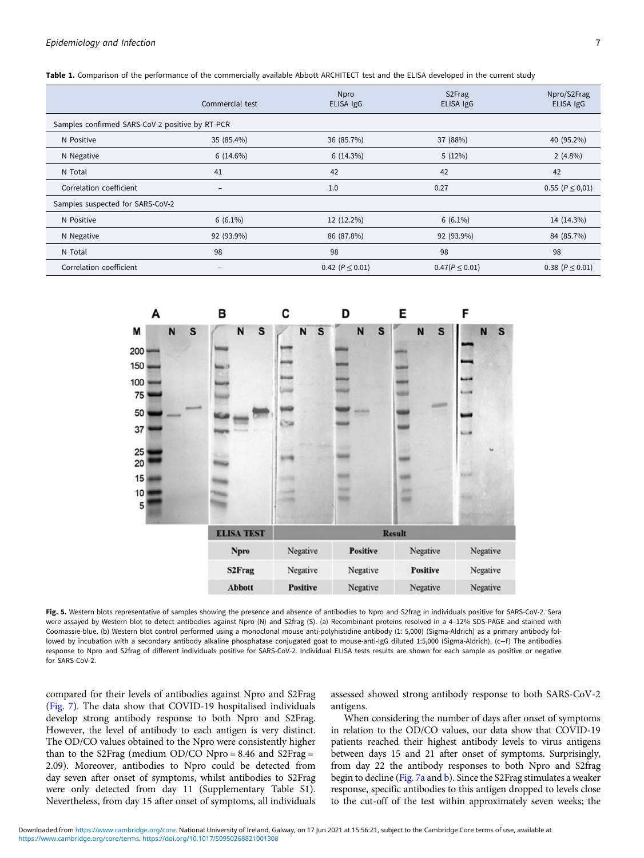<span id="page-7-0"></span>

| Table 1. Comparison of the performance of the commercially available Abbott ARCHITECT test and the ELISA developed in the current study |  |  |
|-----------------------------------------------------------------------------------------------------------------------------------------|--|--|
|                                                                                                                                         |  |  |

|                                                 | Commercial test   | <b>Npro</b><br>ELISA IgG | S <sub>2</sub> Frag<br>ELISA IgG | Npro/S2Frag<br>ELISA IgG |  |  |  |
|-------------------------------------------------|-------------------|--------------------------|----------------------------------|--------------------------|--|--|--|
| Samples confirmed SARS-CoV-2 positive by RT-PCR |                   |                          |                                  |                          |  |  |  |
| N Positive                                      | 35 (85.4%)        | 36 (85.7%)               | 37 (88%)                         | 40 (95.2%)               |  |  |  |
| N Negative                                      | $6(14.6\%)$       | 6(14.3%)                 | 5(12%)                           | $2(4.8\%)$               |  |  |  |
| N Total                                         | 41                | 42                       | 42                               | 42                       |  |  |  |
| Correlation coefficient                         | $\qquad \qquad -$ | 1.0                      | 0.27                             | $0.55 (P \le 0.01)$      |  |  |  |
| Samples suspected for SARS-CoV-2                |                   |                          |                                  |                          |  |  |  |
| N Positive                                      | $6(6.1\%)$        | 12 (12.2%)               | $6(6.1\%)$                       | 14 (14.3%)               |  |  |  |
| N Negative                                      | 92 (93.9%)        | 86 (87.8%)               | 92 (93.9%)                       | 84 (85.7%)               |  |  |  |
| N Total                                         | 98                | 98                       | 98                               | 98                       |  |  |  |
| Correlation coefficient                         | $\qquad \qquad$   | 0.42 ( $P \le 0.01$ )    | $0.47(P \le 0.01)$               | 0.38 ( $P \leq 0.01$ )   |  |  |  |



Fig. 5. Western blots representative of samples showing the presence and absence of antibodies to Npro and S2frag in individuals positive for SARS-CoV-2. Sera were assayed by Western blot to detect antibodies against Npro (N) and S2frag (S). (a) Recombinant proteins resolved in a 4–12% SDS-PAGE and stained with Coomassie-blue. (b) Western blot control performed using a monoclonal mouse anti-polyhistidine antibody (1: 5,000) (Sigma-Aldrich) as a primary antibody followed by incubation with a secondary antibody alkaline phosphatase conjugated goat to mouse-anti-IgG diluted 1:5,000 (Sigma-Aldrich). (c−f ) The antibodies response to Npro and S2frag of different individuals positive for SARS-CoV-2. Individual ELISA tests results are shown for each sample as positive or negative for SARS-CoV-2.

compared for their levels of antibodies against Npro and S2Frag ([Fig. 7\)](#page-9-0). The data show that COVID-19 hospitalised individuals develop strong antibody response to both Npro and S2Frag. However, the level of antibody to each antigen is very distinct. The OD/CO values obtained to the Npro were consistently higher than to the S2Frag (medium OD/CO Npro = 8.46 and S2Frag = 2.09). Moreover, antibodies to Npro could be detected from day seven after onset of symptoms, whilst antibodies to S2Frag were only detected from day 11 (Supplementary Table S1). Nevertheless, from day 15 after onset of symptoms, all individuals assessed showed strong antibody response to both SARS-CoV-2 antigens.

When considering the number of days after onset of symptoms in relation to the OD/CO values, our data show that COVID-19 patients reached their highest antibody levels to virus antigens between days 15 and 21 after onset of symptoms. Surprisingly, from day 22 the antibody responses to both Npro and S2frag begin to decline [\(Fig. 7a](#page-9-0) and [b\)](#page-9-0). Since the S2Frag stimulates a weaker response, specific antibodies to this antigen dropped to levels close to the cut-off of the test within approximately seven weeks; the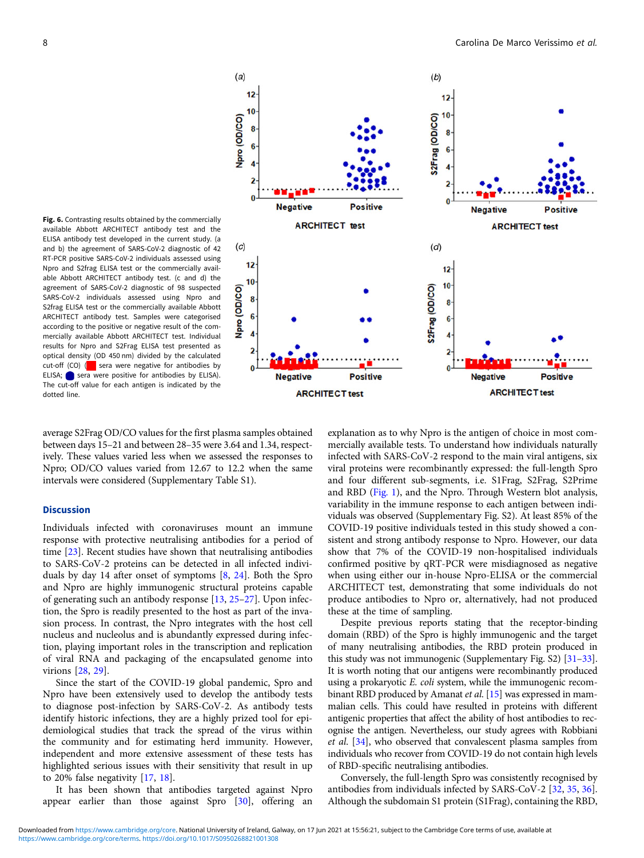<span id="page-8-0"></span>Fig. 6. Contrasting results obtained by the commercially available Abbott ARCHITECT antibody test and the ELISA antibody test developed in the current study. (a and b) the agreement of SARS-CoV-2 diagnostic of 42 RT-PCR positive SARS-CoV-2 individuals assessed using Npro and S2frag ELISA test or the commercially available Abbott ARCHITECT antibody test. (c and d) the agreement of SARS-CoV-2 diagnostic of 98 suspected SARS-CoV-2 individuals assessed using Npro and S2frag ELISA test or the commercially available Abbott ARCHITECT antibody test. Samples were categorised according to the positive or negative result of the commercially available Abbott ARCHITECT test. Individual results for Npro and S2Frag ELISA test presented as optical density (OD 450 nm) divided by the calculated cut-off (CO)  $($  sera were negative for antibodies by ELISA; sera were positive for antibodies by ELISA). The cut-off value for each antigen is indicated by the dotted line.

average S2Frag OD/CO values for the first plasma samples obtained between days 15–21 and between 28–35 were 3.64 and 1.34, respectively. These values varied less when we assessed the responses to Npro; OD/CO values varied from 12.67 to 12.2 when the same intervals were considered (Supplementary Table S1).

## **Discussion**

Individuals infected with coronaviruses mount an immune response with protective neutralising antibodies for a period of time [[23\]](#page-11-0). Recent studies have shown that neutralising antibodies to SARS-CoV-2 proteins can be detected in all infected individuals by day 14 after onset of symptoms [\[8,](#page-10-0) [24\]](#page-11-0). Both the Spro and Npro are highly immunogenic structural proteins capable of generating such an antibody response [\[13,](#page-10-0) [25](#page-11-0)–[27](#page-11-0)]. Upon infection, the Spro is readily presented to the host as part of the invasion process. In contrast, the Npro integrates with the host cell nucleus and nucleolus and is abundantly expressed during infection, playing important roles in the transcription and replication of viral RNA and packaging of the encapsulated genome into virions [\[28](#page-11-0), [29\]](#page-11-0).

Since the start of the COVID-19 global pandemic, Spro and Npro have been extensively used to develop the antibody tests to diagnose post-infection by SARS-CoV-2. As antibody tests identify historic infections, they are a highly prized tool for epidemiological studies that track the spread of the virus within the community and for estimating herd immunity. However, independent and more extensive assessment of these tests has highlighted serious issues with their sensitivity that result in up to 20% false negativity [\[17](#page-11-0), [18\]](#page-11-0).

It has been shown that antibodies targeted against Npro appear earlier than those against Spro [\[30](#page-11-0)], offering an explanation as to why Npro is the antigen of choice in most commercially available tests. To understand how individuals naturally infected with SARS-CoV-2 respond to the main viral antigens, six viral proteins were recombinantly expressed: the full-length Spro and four different sub-segments, i.e. S1Frag, S2Frag, S2Prime and RBD [\(Fig. 1\)](#page-3-0), and the Npro. Through Western blot analysis, variability in the immune response to each antigen between individuals was observed (Supplementary Fig. S2). At least 85% of the COVID-19 positive individuals tested in this study showed a consistent and strong antibody response to Npro. However, our data show that 7% of the COVID-19 non-hospitalised individuals confirmed positive by qRT-PCR were misdiagnosed as negative when using either our in-house Npro-ELISA or the commercial ARCHITECT test, demonstrating that some individuals do not produce antibodies to Npro or, alternatively, had not produced these at the time of sampling.

Despite previous reports stating that the receptor-binding domain (RBD) of the Spro is highly immunogenic and the target of many neutralising antibodies, the RBD protein produced in this study was not immunogenic (Supplementary Fig. S2) [[31](#page-11-0)–[33](#page-11-0)]. It is worth noting that our antigens were recombinantly produced using a prokaryotic E. coli system, while the immunogenic recom-binant RBD produced by Amanat et al. [[15\]](#page-10-0) was expressed in mammalian cells. This could have resulted in proteins with different antigenic properties that affect the ability of host antibodies to recognise the antigen. Nevertheless, our study agrees with Robbiani et al. [[34\]](#page-11-0), who observed that convalescent plasma samples from individuals who recover from COVID-19 do not contain high levels of RBD-specific neutralising antibodies.

Conversely, the full-length Spro was consistently recognised by antibodies from individuals infected by SARS-CoV-2 [[32,](#page-11-0) [35,](#page-11-0) [36](#page-11-0)]. Although the subdomain S1 protein (S1Frag), containing the RBD,

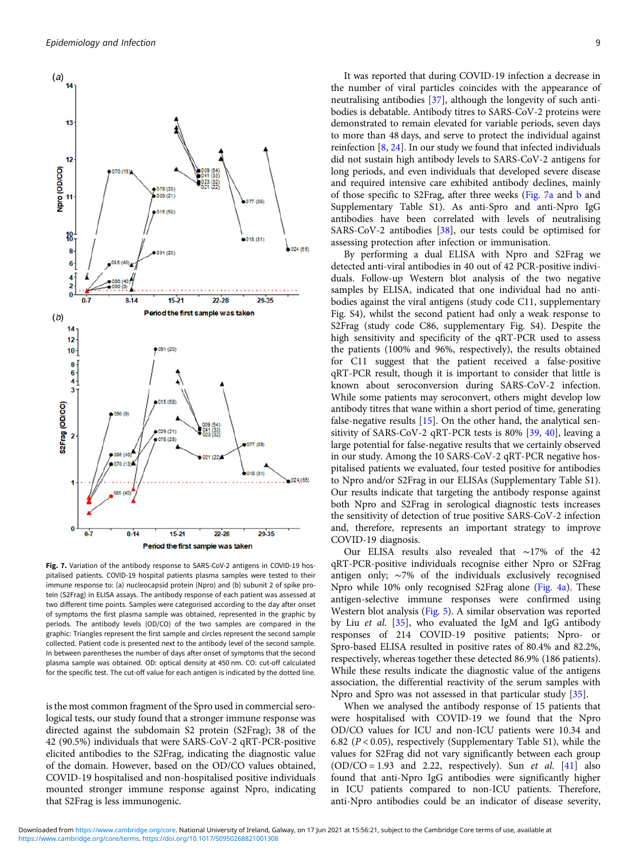<span id="page-9-0"></span>

Fig. 7. Variation of the antibody response to SARS-CoV-2 antigens in COVID-19 hospitalised patients. COVID-19 hospital patients plasma samples were tested to their immune response to: (a) nucleocapsid protein (Npro) and (b) subunit 2 of spike protein (S2Frag) in ELISA assays. The antibody response of each patient was assessed at two different time points. Samples were categorised according to the day after onset of symptoms the first plasma sample was obtained, represented in the graphic by periods. The antibody levels (OD/CO) of the two samples are compared in the graphic: Triangles represent the first sample and circles represent the second sample collected. Patient code is presented next to the antibody level of the second sample. In between parentheses the number of days after onset of symptoms that the second plasma sample was obtained. OD: optical density at 450 nm. CO: cut-off calculated for the specific test. The cut-off value for each antigen is indicated by the dotted line.

is the most common fragment of the Spro used in commercial serological tests, our study found that a stronger immune response was directed against the subdomain S2 protein (S2Frag); 38 of the 42 (90.5%) individuals that were SARS-CoV-2 qRT-PCR-positive elicited antibodies to the S2Frag, indicating the diagnostic value of the domain. However, based on the OD/CO values obtained, COVID-19 hospitalised and non-hospitalised positive individuals mounted stronger immune response against Npro, indicating that S2Frag is less immunogenic.

It was reported that during COVID-19 infection a decrease in the number of viral particles coincides with the appearance of neutralising antibodies [\[37\]](#page-11-0), although the longevity of such antibodies is debatable. Antibody titres to SARS-CoV-2 proteins were demonstrated to remain elevated for variable periods, seven days to more than 48 days, and serve to protect the individual against reinfection [[8](#page-10-0), [24\]](#page-11-0). In our study we found that infected individuals did not sustain high antibody levels to SARS-CoV-2 antigens for long periods, and even individuals that developed severe disease and required intensive care exhibited antibody declines, mainly of those specific to S2Frag, after three weeks (Fig. 7a and b and Supplementary Table S1). As anti-Spro and anti-Npro IgG antibodies have been correlated with levels of neutralising SARS-CoV-2 antibodies [\[38](#page-11-0)], our tests could be optimised for assessing protection after infection or immunisation.

By performing a dual ELISA with Npro and S2Frag we detected anti-viral antibodies in 40 out of 42 PCR-positive individuals. Follow-up Western blot analysis of the two negative samples by ELISA, indicated that one individual had no antibodies against the viral antigens (study code C11, supplementary Fig. S4), whilst the second patient had only a weak response to S2Frag (study code C86, supplementary Fig. S4). Despite the high sensitivity and specificity of the qRT-PCR used to assess the patients (100% and 96%, respectively), the results obtained for C11 suggest that the patient received a false-positive qRT-PCR result, though it is important to consider that little is known about seroconversion during SARS-CoV-2 infection. While some patients may seroconvert, others might develop low antibody titres that wane within a short period of time, generating false-negative results [[15\]](#page-10-0). On the other hand, the analytical sensitivity of SARS-CoV-2 qRT-PCR tests is 80% [[39,](#page-11-0) [40](#page-11-0)], leaving a large potential for false-negative results that we certainly observed in our study. Among the 10 SARS-CoV-2 qRT-PCR negative hospitalised patients we evaluated, four tested positive for antibodies to Npro and/or S2Frag in our ELISAs (Supplementary Table S1). Our results indicate that targeting the antibody response against both Npro and S2Frag in serological diagnostic tests increases the sensitivity of detection of true positive SARS-CoV-2 infection and, therefore, represents an important strategy to improve COVID-19 diagnosis.

Our ELISA results also revealed that ∼17% of the 42 qRT-PCR-positive individuals recognise either Npro or S2Frag antigen only; ∼7% of the individuals exclusively recognised Npro while 10% only recognised S2Frag alone [\(Fig. 4a\)](#page-6-0). These antigen-selective immune responses were confirmed using Western blot analysis [\(Fig. 5](#page-7-0)). A similar observation was reported by Liu et al. [[35\]](#page-11-0), who evaluated the IgM and IgG antibody responses of 214 COVID-19 positive patients; Npro- or Spro-based ELISA resulted in positive rates of 80.4% and 82.2%, respectively, whereas together these detected 86.9% (186 patients). While these results indicate the diagnostic value of the antigens association, the differential reactivity of the serum samples with Npro and Spro was not assessed in that particular study [[35\]](#page-11-0).

When we analysed the antibody response of 15 patients that were hospitalised with COVID-19 we found that the Npro OD/CO values for ICU and non-ICU patients were 10.34 and 6.82 ( $P < 0.05$ ), respectively (Supplementary Table S1), while the values for S2Frag did not vary significantly between each group  $(OD/CO = 1.93$  and 2.22, respectively). Sun *et al.* [\[41](#page-11-0)] also found that anti-Npro IgG antibodies were significantly higher in ICU patients compared to non-ICU patients. Therefore, anti-Npro antibodies could be an indicator of disease severity,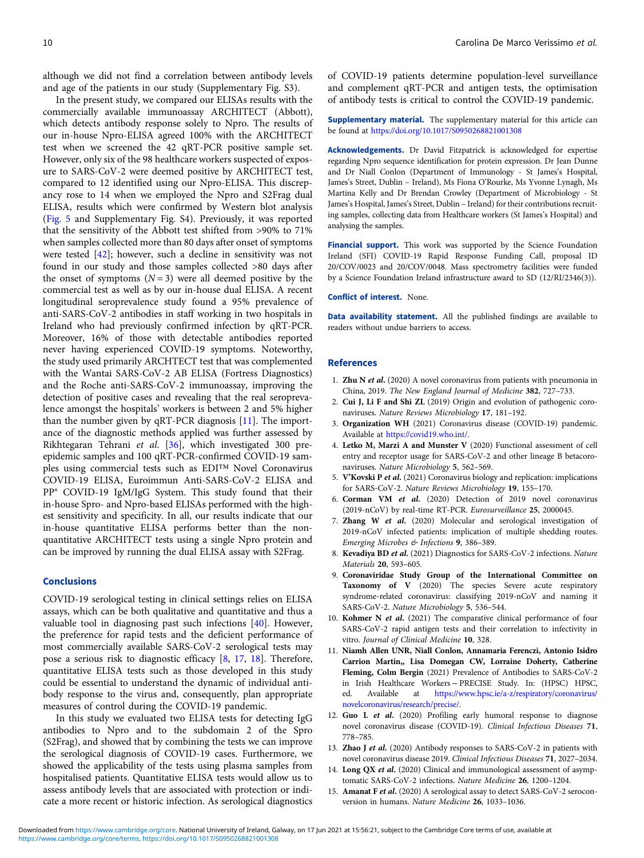<span id="page-10-0"></span>although we did not find a correlation between antibody levels and age of the patients in our study (Supplementary Fig. S3).

In the present study, we compared our ELISAs results with the commercially available immunoassay ARCHITECT (Abbott), which detects antibody response solely to Npro. The results of our in-house Npro-ELISA agreed 100% with the ARCHITECT test when we screened the 42 qRT-PCR positive sample set. However, only six of the 98 healthcare workers suspected of exposure to SARS-CoV-2 were deemed positive by ARCHITECT test, compared to 12 identified using our Npro-ELISA. This discrepancy rose to 14 when we employed the Npro and S2Frag dual ELISA, results which were confirmed by Western blot analysis ([Fig. 5](#page-7-0) and Supplementary Fig. S4). Previously, it was reported that the sensitivity of the Abbott test shifted from >90% to 71% when samples collected more than 80 days after onset of symptoms were tested [[42](#page-11-0)]; however, such a decline in sensitivity was not found in our study and those samples collected >80 days after the onset of symptoms  $(N = 3)$  were all deemed positive by the commercial test as well as by our in-house dual ELISA. A recent longitudinal seroprevalence study found a 95% prevalence of anti-SARS-CoV-2 antibodies in staff working in two hospitals in Ireland who had previously confirmed infection by qRT-PCR. Moreover, 16% of those with detectable antibodies reported never having experienced COVID-19 symptoms. Noteworthy, the study used primarily ARCHTECT test that was complemented with the Wantai SARS-CoV-2 AB ELISA (Fortress Diagnostics) and the Roche anti-SARS-CoV-2 immunoassay, improving the detection of positive cases and revealing that the real seroprevalence amongst the hospitals' workers is between 2 and 5% higher than the number given by qRT-PCR diagnosis [11]. The importance of the diagnostic methods applied was further assessed by Rikhtegaran Tehrani et al. [\[36](#page-11-0)], which investigated 300 preepidemic samples and 100 qRT-PCR-confirmed COVID-19 samples using commercial tests such as EDI™ Novel Coronavirus COVID-19 ELISA, Euroimmun Anti-SARS-CoV-2 ELISA and PP® COVID-19 IgM/IgG System. This study found that their in-house Spro- and Npro-based ELISAs performed with the highest sensitivity and specificity. In all, our results indicate that our in-house quantitative ELISA performs better than the nonquantitative ARCHITECT tests using a single Npro protein and can be improved by running the dual ELISA assay with S2Frag.

#### Conclusions

COVID-19 serological testing in clinical settings relies on ELISA assays, which can be both qualitative and quantitative and thus a valuable tool in diagnosing past such infections [\[40](#page-11-0)]. However, the preference for rapid tests and the deficient performance of most commercially available SARS-CoV-2 serological tests may pose a serious risk to diagnostic efficacy [8, [17,](#page-11-0) [18\]](#page-11-0). Therefore, quantitative ELISA tests such as those developed in this study could be essential to understand the dynamic of individual antibody response to the virus and, consequently, plan appropriate measures of control during the COVID-19 pandemic.

In this study we evaluated two ELISA tests for detecting IgG antibodies to Npro and to the subdomain 2 of the Spro (S2Frag), and showed that by combining the tests we can improve the serological diagnosis of COVID-19 cases. Furthermore, we showed the applicability of the tests using plasma samples from hospitalised patients. Quantitative ELISA tests would allow us to assess antibody levels that are associated with protection or indicate a more recent or historic infection. As serological diagnostics

of COVID-19 patients determine population-level surveillance and complement qRT-PCR and antigen tests, the optimisation of antibody tests is critical to control the COVID-19 pandemic.

Supplementary material. The supplementary material for this article can be found at <https://doi.org/10.1017/S0950268821001308>

Acknowledgements. Dr David Fitzpatrick is acknowledged for expertise regarding Npro sequence identification for protein expression. Dr Jean Dunne and Dr Niall Conlon (Department of Immunology - St James's Hospital, James's Street, Dublin – Ireland), Ms Fiona O'Rourke, Ms Yvonne Lynagh, Ms Martina Kelly and Dr Brendan Crowley (Department of Microbiology - St James's Hospital, James's Street, Dublin – Ireland) for their contributions recruiting samples, collecting data from Healthcare workers (St James's Hospital) and analysing the samples.

Financial support. This work was supported by the Science Foundation Ireland (SFI) COVID-19 Rapid Response Funding Call, proposal ID 20/COV/0023 and 20/COV/0048. Mass spectrometry facilities were funded by a Science Foundation Ireland infrastructure award to SD (12/RI/2346(3)).

#### Conflict of interest. None.

Data availability statement. All the published findings are available to readers without undue barriers to access.

#### References

- 1. Zhu N et al. (2020) A novel coronavirus from patients with pneumonia in China, 2019. The New England Journal of Medicine 382, 727–733.
- 2. Cui J, Li F and Shi ZL (2019) Origin and evolution of pathogenic coronaviruses. Nature Reviews Microbiology 17, 181–192.
- 3. Organization WH (2021) Coronavirus disease (COVID-19) pandemic. Available at <https://covid19.who.int/>.
- 4. Letko M, Marzi A and Munster V (2020) Functional assessment of cell entry and receptor usage for SARS-CoV-2 and other lineage B betacoronaviruses. Nature Microbiology 5, 562–569.
- 5. <sup>V</sup>'Kovski P et al. (2021) Coronavirus biology and replication: implications for SARS-CoV-2. Nature Reviews Microbiology 19, 155–170.
- 6. Corman VM et al. (2020) Detection of 2019 novel coronavirus (2019-nCoV) by real-time RT-PCR. Eurosurveillance 25, 2000045.
- 7. Zhang W et al. (2020) Molecular and serological investigation of 2019-nCoV infected patients: implication of multiple shedding routes. Emerging Microbes & Infections 9, 386–389.
- 8. Kevadiya BD et al. (2021) Diagnostics for SARS-CoV-2 infections. Nature Materials 20, 593–605.
- 9. Coronaviridae Study Group of the International Committee on Taxonomy of V (2020) The species Severe acute respiratory syndrome-related coronavirus: classifying 2019-nCoV and naming it SARS-CoV-2. Nature Microbiology 5, 536–544.
- 10. Kohmer N et al. (2021) The comparative clinical performance of four SARS-CoV-2 rapid antigen tests and their correlation to infectivity in vitro. Journal of Clinical Medicine 10, 328.
- 11. Niamh Allen UNR, Niall Conlon, Annamaria Ferenczi, Antonio Isidro Carrion Martin,, Lisa Domegan CW, Lorraine Doherty, Catherine Fleming, Colm Bergin (2021) Prevalence of Antibodies to SARS-CoV-2 in Irish Healthcare Workers − PRECISE Study. In: (HPSC) HPSC, ed. Available at [https://www.hpsc.ie/a-z/respiratory/coronavirus/](https://www.hpsc.ie/a-z/respiratory/coronavirus/novelcoronavirus/research/precise/) [novelcoronavirus/research/precise/.](https://www.hpsc.ie/a-z/respiratory/coronavirus/novelcoronavirus/research/precise/)
- 12. Guo L et al. (2020) Profiling early humoral response to diagnose novel coronavirus disease (COVID-19). Clinical Infectious Diseases 71, 778–785.
- 13. Zhao J et al. (2020) Antibody responses to SARS-CoV-2 in patients with novel coronavirus disease 2019. Clinical Infectious Diseases 71, 2027–2034.
- 14. Long QX et al. (2020) Clinical and immunological assessment of asymptomatic SARS-CoV-2 infections. Nature Medicine 26, 1200–1204.
- 15. Amanat F et al. (2020) A serological assay to detect SARS-CoV-2 seroconversion in humans. Nature Medicine 26, 1033–1036.